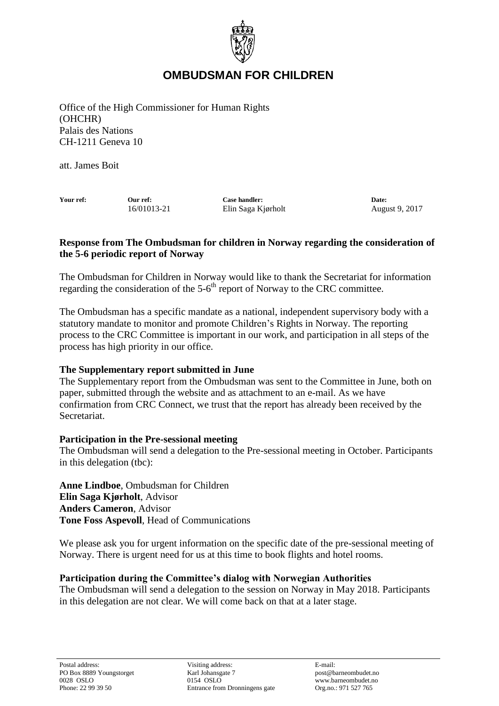

# **OMBUDSMAN FOR CHILDREN**

Office of the High Commissioner for Human Rights (OHCHR) Palais des Nations CH-1211 Geneva 10

att. James Boit

**Your ref: Our ref: Case handler: Date:** 16/01013-21 Elin Saga Kjørholt August 9, 2017

## **Response from The Ombudsman for children in Norway regarding the consideration of the 5-6 periodic report of Norway**

The Ombudsman for Children in Norway would like to thank the Secretariat for information regarding the consideration of the 5-6<sup>th</sup> report of Norway to the CRC committee.

The Ombudsman has a specific mandate as a national, independent supervisory body with a statutory mandate to monitor and promote Children's Rights in Norway. The reporting process to the CRC Committee is important in our work, and participation in all steps of the process has high priority in our office.

### **The Supplementary report submitted in June**

The Supplementary report from the Ombudsman was sent to the Committee in June, both on paper, submitted through the website and as attachment to an e-mail. As we have confirmation from CRC Connect, we trust that the report has already been received by the Secretariat.

### **Participation in the Pre-sessional meeting**

The Ombudsman will send a delegation to the Pre-sessional meeting in October. Participants in this delegation (tbc):

**Anne Lindboe**, Ombudsman for Children **Elin Saga Kjørholt**, Advisor **Anders Cameron**, Advisor **Tone Foss Aspevoll**, Head of Communications

We please ask you for urgent information on the specific date of the pre-sessional meeting of Norway. There is urgent need for us at this time to book flights and hotel rooms.

### **Participation during the Committee's dialog with Norwegian Authorities**

The Ombudsman will send a delegation to the session on Norway in May 2018. Participants in this delegation are not clear. We will come back on that at a later stage.